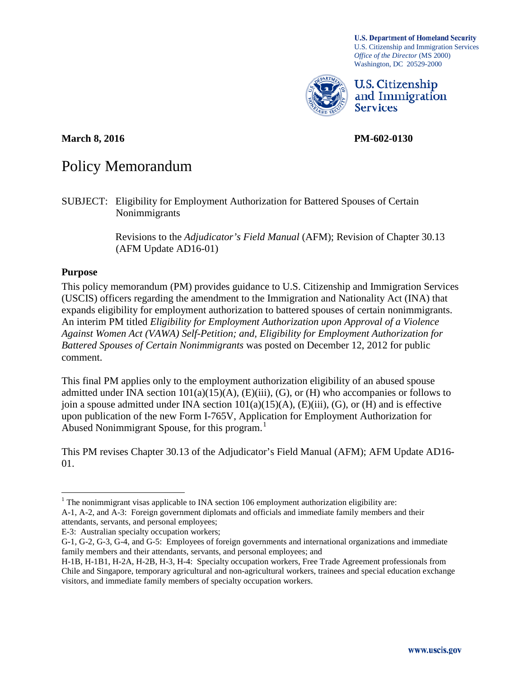**U.S. Department of Homeland Security** U.S. Citizenship and Immigration Services *Office of the Director* (MS 2000) Washington, DC 20529-2000



U.S. Citizenship and Immigration **Services** 

**March 8, 2016 PM-602-0130**

# Policy Memorandum

Revisions to the *Adjudicator's Field Manual* (AFM); Revision of Chapter 30.13 (AFM Update AD16-01)

### **Purpose**

This policy memorandum (PM) provides guidance to U.S. Citizenship and Immigration Services (USCIS) officers regarding the amendment to the Immigration and Nationality Act (INA) that expands eligibility for employment authorization to battered spouses of certain nonimmigrants. An interim PM titled *Eligibility for Employment Authorization upon Approval of a Violence Against Women Act (VAWA) Self-Petition; and, Eligibility for Employment Authorization for Battered Spouses of Certain Nonimmigrants* was posted on December 12, 2012 for public comment.

This final PM applies only to the employment authorization eligibility of an abused spouse admitted under INA section  $101(a)(15)(A)$ ,  $(E)(iii)$ ,  $(G)$ , or  $(H)$  who accompanies or follows to join a spouse admitted under INA section  $101(a)(15)(A)$ ,  $(E)(iii)$ ,  $(G)$ , or  $(H)$  and is effective upon publication of the new Form I-765V, Application for Employment Authorization for Abused Nonimmigrant Spouse, for this program. [1](#page-0-0)

This PM revises Chapter 30.13 of the Adjudicator's Field Manual (AFM); AFM Update AD16- 01.

SUBJECT: Eligibility for Employment Authorization for Battered Spouses of Certain Nonimmigrants

<span id="page-0-0"></span> $1$ . The nonimmigrant visas applicable to INA section 106 employment authorization eligibility are: A-1, A-2, and A-3: Foreign government diplomats and officials and immediate family members and their

attendants, servants, and personal employees;

E-3: Australian specialty occupation workers;

G-1, G-2, G-3, G-4, and G-5: Employees of foreign governments and international organizations and immediate family members and their attendants, servants, and personal employees; and

H-1B, H-1B1, H-2A, H-2B, H-3, H-4: Specialty occupation workers, Free Trade Agreement professionals from Chile and Singapore, temporary agricultural and non-agricultural workers, trainees and special education exchange visitors, and immediate family members of specialty occupation workers.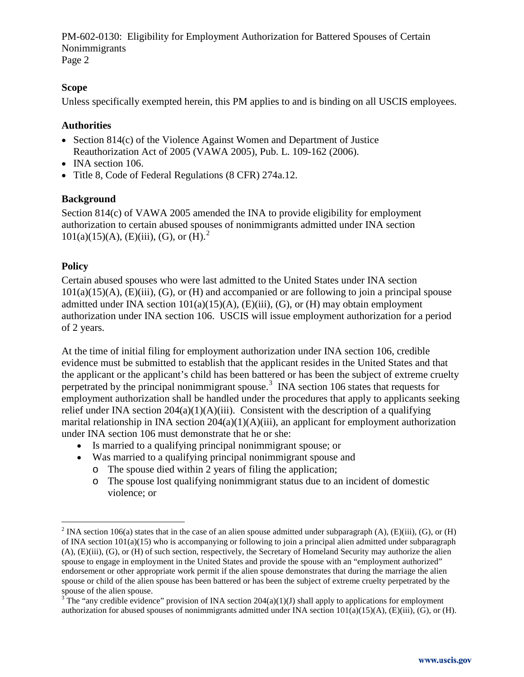#### **Scope**

Unless specifically exempted herein, this PM applies to and is binding on all USCIS employees.

## **Authorities**

- Section 814(c) of the Violence Against Women and Department of Justice Reauthorization Act of 2005 (VAWA 2005), Pub. L. 109-162 (2006).
- INA section 106.
- Title 8, Code of Federal Regulations (8 CFR) 274a.12.

### **Background**

Section 814(c) of VAWA 2005 amended the INA to provide eligibility for employment authorization to certain abused spouses of nonimmigrants admitted under INA section  $101(a)(15)(A)$ , (E)(iii), (G), or (H).<sup>[2](#page-1-0)</sup>

## **Policy**

Certain abused spouses who were last admitted to the United States under INA section  $101(a)(15)(A)$ ,  $(E)(iii)$ ,  $(G)$ , or  $(H)$  and accompanied or are following to join a principal spouse admitted under INA section  $101(a)(15)(A)$ ,  $(E)(iii)$ ,  $(G)$ , or  $(H)$  may obtain employment authorization under INA section 106. USCIS will issue employment authorization for a period of 2 years.

At the time of initial filing for employment authorization under INA section 106, credible evidence must be submitted to establish that the applicant resides in the United States and that the applicant or the applicant's child has been battered or has been the subject of extreme cruelty perpetrated by the principal nonimmigrant spouse.<sup>[3](#page-1-1)</sup> INA section 106 states that requests for employment authorization shall be handled under the procedures that apply to applicants seeking relief under INA section  $204(a)(1)(A)(iii)$ . Consistent with the description of a qualifying marital relationship in INA section 204(a)(1)(A)(iii), an applicant for employment authorization under INA section 106 must demonstrate that he or she:

- Is married to a qualifying principal nonimmigrant spouse; or
- Was married to a qualifying principal nonimmigrant spouse and
	- o The spouse died within 2 years of filing the application;
	- o The spouse lost qualifying nonimmigrant status due to an incident of domestic violence; or

<span id="page-1-0"></span><sup>&</sup>lt;sup>2</sup> INA section 106(a) states that in the case of an alien spouse admitted under subparagraph (A), (E)(iii), (G), or (H) of INA section 101(a)(15) who is accompanying or following to join a principal alien admitted under subparagraph (A), (E)(iii), (G), or (H) of such section, respectively, the Secretary of Homeland Security may authorize the alien spouse to engage in employment in the United States and provide the spouse with an "employment authorized" endorsement or other appropriate work permit if the alien spouse demonstrates that during the marriage the alien spouse or child of the alien spouse has been battered or has been the subject of extreme cruelty perpetrated by the spouse of the alien spouse.

<span id="page-1-1"></span> $3^3$ The "any credible evidence" provision of INA section 204(a)(1)(J) shall apply to applications for employment authorization for abused spouses of nonimmigrants admitted under INA section 101(a)(15)(A), (E)(iii), (G), or (H).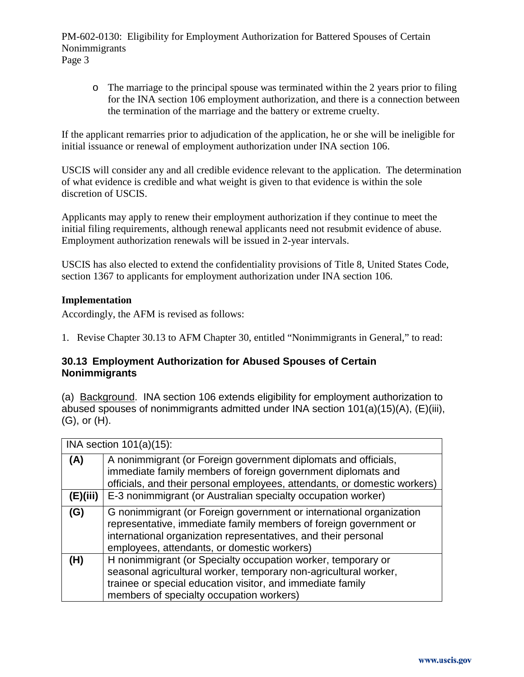$\circ$  The marriage to the principal spouse was terminated within the 2 years prior to filing for the INA section 106 employment authorization, and there is a connection between the termination of the marriage and the battery or extreme cruelty.

If the applicant remarries prior to adjudication of the application, he or she will be ineligible for initial issuance or renewal of employment authorization under INA section 106.

USCIS will consider any and all credible evidence relevant to the application. The determination of what evidence is credible and what weight is given to that evidence is within the sole discretion of USCIS.

Applicants may apply to renew their employment authorization if they continue to meet the initial filing requirements, although renewal applicants need not resubmit evidence of abuse. Employment authorization renewals will be issued in 2-year intervals.

USCIS has also elected to extend the confidentiality provisions of Title 8, United States Code, section 1367 to applicants for employment authorization under INA section 106.

#### **Implementation**

Accordingly, the AFM is revised as follows:

1. Revise Chapter 30.13 to AFM Chapter 30, entitled "Nonimmigrants in General," to read:

## **30.13 Employment Authorization for Abused Spouses of Certain Nonimmigrants**

(a) Background. INA section 106 extends eligibility for employment authorization to abused spouses of nonimmigrants admitted under INA section 101(a)(15)(A), (E)(iii), (G), or (H).

| INA section $101(a)(15)$ : |                                                                                                                                                                                                                                                           |  |
|----------------------------|-----------------------------------------------------------------------------------------------------------------------------------------------------------------------------------------------------------------------------------------------------------|--|
| (A)                        | A nonimmigrant (or Foreign government diplomats and officials,<br>immediate family members of foreign government diplomats and<br>officials, and their personal employees, attendants, or domestic workers)                                               |  |
| (E)(iii)                   | E-3 nonimmigrant (or Australian specialty occupation worker)                                                                                                                                                                                              |  |
| (G)                        | G nonimmigrant (or Foreign government or international organization<br>representative, immediate family members of foreign government or<br>international organization representatives, and their personal<br>employees, attendants, or domestic workers) |  |
| (H)                        | H nonimmigrant (or Specialty occupation worker, temporary or<br>seasonal agricultural worker, temporary non-agricultural worker,<br>trainee or special education visitor, and immediate family<br>members of specialty occupation workers)                |  |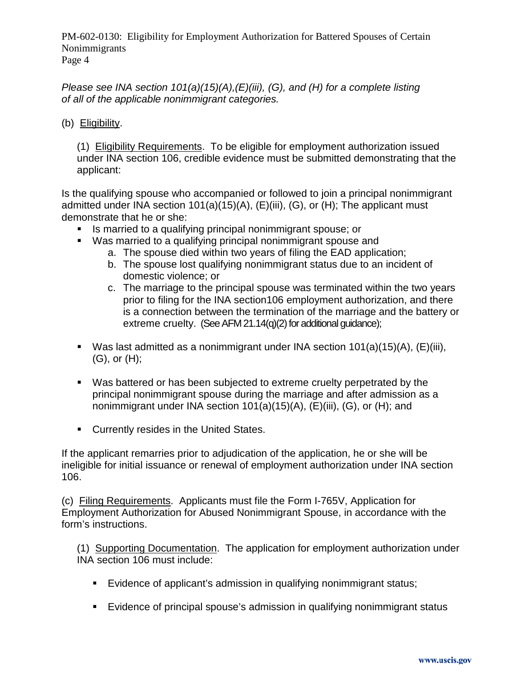*Please see INA section 101(a)(15)(A),(E)(iii), (G), and (H) for a complete listing of all of the applicable nonimmigrant categories.*

(b) Eligibility.

(1) Eligibility Requirements. To be eligible for employment authorization issued under INA section 106, credible evidence must be submitted demonstrating that the applicant:

Is the qualifying spouse who accompanied or followed to join a principal nonimmigrant admitted under INA section 101(a)(15)(A), (E)(iii), (G), or (H); The applicant must demonstrate that he or she:

- Is married to a qualifying principal nonimmigrant spouse; or
- Was married to a qualifying principal nonimmigrant spouse and
	- a. The spouse died within two years of filing the EAD application;
	- b. The spouse lost qualifying nonimmigrant status due to an incident of domestic violence; or
	- c. The marriage to the principal spouse was terminated within the two years prior to filing for the INA section106 employment authorization, and there is a connection between the termination of the marriage and the battery or extreme cruelty. (See AFM 21.14(q)(2) for additional guidance);
- Was last admitted as a nonimmigrant under INA section  $101(a)(15)(A)$ ,  $(E)(iii)$ , (G), or (H);
- Was battered or has been subjected to extreme cruelty perpetrated by the principal nonimmigrant spouse during the marriage and after admission as a nonimmigrant under INA section 101(a)(15)(A), (E)(iii), (G), or (H); and
- **Currently resides in the United States.**

If the applicant remarries prior to adjudication of the application, he or she will be ineligible for initial issuance or renewal of employment authorization under INA section 106.

(c) Filing Requirements. Applicants must file the Form I-765V, Application for Employment Authorization for Abused Nonimmigrant Spouse, in accordance with the form's instructions.

(1) Supporting Documentation. The application for employment authorization under INA section 106 must include:

- Evidence of applicant's admission in qualifying nonimmigrant status;
- **Evidence of principal spouse's admission in qualifying nonimmigrant status**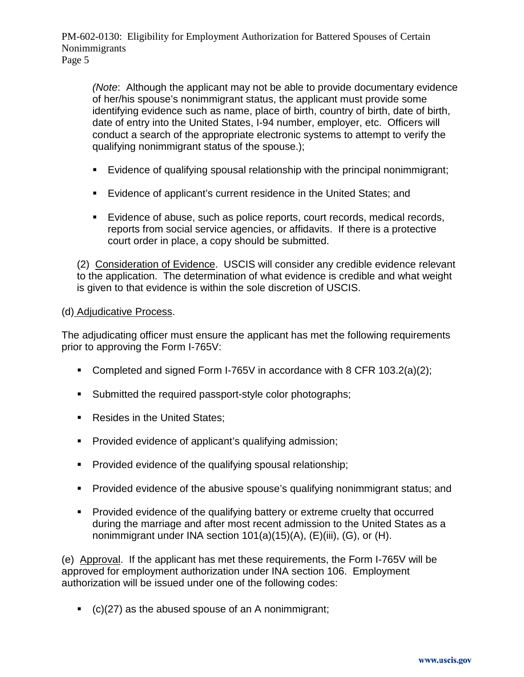*(Note*: Although the applicant may not be able to provide documentary evidence of her/his spouse's nonimmigrant status, the applicant must provide some identifying evidence such as name, place of birth, country of birth, date of birth, date of entry into the United States, I-94 number, employer, etc. Officers will conduct a search of the appropriate electronic systems to attempt to verify the qualifying nonimmigrant status of the spouse.);

- Evidence of qualifying spousal relationship with the principal nonimmigrant;
- **Evidence of applicant's current residence in the United States; and**
- Evidence of abuse, such as police reports, court records, medical records, reports from social service agencies, or affidavits. If there is a protective court order in place, a copy should be submitted.

(2) Consideration of Evidence. USCIS will consider any credible evidence relevant to the application. The determination of what evidence is credible and what weight is given to that evidence is within the sole discretion of USCIS.

### (d) Adjudicative Process.

The adjudicating officer must ensure the applicant has met the following requirements prior to approving the Form I-765V:

- Completed and signed Form I-765V in accordance with 8 CFR 103.2(a)(2);
- **Submitted the required passport-style color photographs;**
- Resides in the United States;
- **Provided evidence of applicant's qualifying admission;**
- **Provided evidence of the qualifying spousal relationship;**
- **Provided evidence of the abusive spouse's qualifying nonimmigrant status; and**
- **Provided evidence of the qualifying battery or extreme cruelty that occurred** during the marriage and after most recent admission to the United States as a nonimmigrant under INA section 101(a)(15)(A), (E)(iii), (G), or (H).

(e) Approval. If the applicant has met these requirements, the Form I-765V will be approved for employment authorization under INA section 106. Employment authorization will be issued under one of the following codes:

 $\bullet$  (c)(27) as the abused spouse of an A nonimmigrant;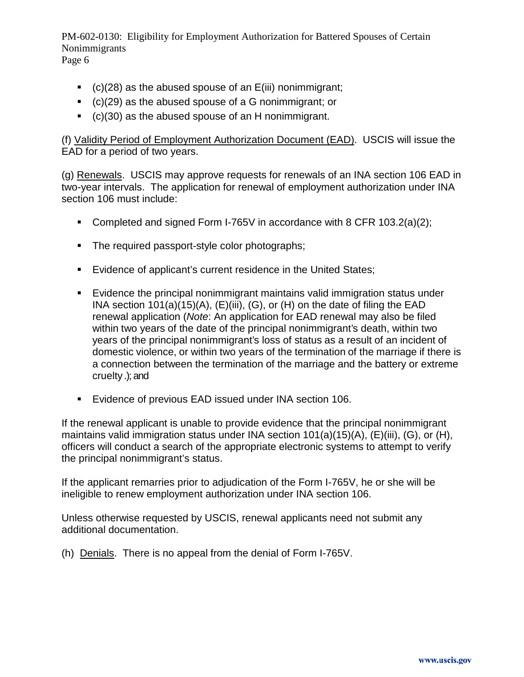- $\bullet$  (c)(28) as the abused spouse of an E(iii) nonimmigrant;
- (c)(29) as the abused spouse of a G nonimmigrant; or
- (c)(30) as the abused spouse of an H nonimmigrant.

(f) Validity Period of Employment Authorization Document (EAD). USCIS will issue the EAD for a period of two years.

(g) Renewals. USCIS may approve requests for renewals of an INA section 106 EAD in two-year intervals. The application for renewal of employment authorization under INA section 106 must include:

- Completed and signed Form I-765V in accordance with 8 CFR 103.2(a)(2);
- The required passport-style color photographs;
- **Evidence of applicant's current residence in the United States;**
- Evidence the principal nonimmigrant maintains valid immigration status under INA section 101(a)(15)(A), (E)(iii), (G), or (H) on the date of filing the EAD renewal application (*Note*: An application for EAD renewal may also be filed within two years of the date of the principal nonimmigrant's death, within two years of the principal nonimmigrant's loss of status as a result of an incident of domestic violence, or within two years of the termination of the marriage if there is a connection between the termination of the marriage and the battery or extreme cruelty .); and
- **Evidence of previous EAD issued under INA section 106.**

If the renewal applicant is unable to provide evidence that the principal nonimmigrant maintains valid immigration status under INA section 101(a)(15)(A), (E)(iii), (G), or (H), officers will conduct a search of the appropriate electronic systems to attempt to verify the principal nonimmigrant's status.

If the applicant remarries prior to adjudication of the Form I-765V, he or she will be ineligible to renew employment authorization under INA section 106.

Unless otherwise requested by USCIS, renewal applicants need not submit any additional documentation.

(h) Denials. There is no appeal from the denial of Form I-765V.